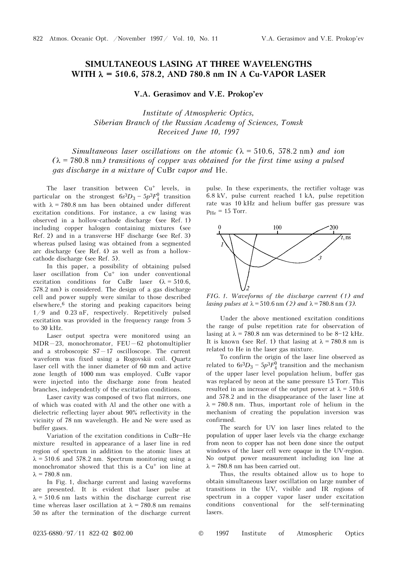## **SIMULTANEOUS LASING AT THREE WAVELENGTHS WITH** λ **= 510.6, 578.2, AND 780.8 nm IN A Cu-VAPOR LASER**

**V.A. Gerasimov and V.E. Prokop'ev** 

*Institute of Atmospheric Optics, Siberian Branch of the Russian Academy of Sciences, Tomsk Received June 10, 1997* 

*Simultaneous laser oscillations on the atomic*  $(\lambda = 510.6, 578.2 \text{ nm})$  *and ion*  $(\lambda = 780.8 \text{ nm})$  transitions of copper was obtained for the first time using a pulsed *gas discharge in a mixture of* CuBr *vapor and* He.

The laser transition between Cu<sup>+</sup> levels, in particular on the strongest  $6s^3D_3 - 5p^3F_4^0$  transition with  $\lambda = 780.8$  nm has been obtained under different excitation conditions. For instance, a cw lasing was observed in a hollow-cathode discharge (see Ref. 1) including copper halogen containing mixtures (see Ref. 2) and in a transverse HF discharge (see Ref. 3) whereas pulsed lasing was obtained from a segmented arc discharge (see Ref. 4) as well as from a hollowcathode discharge (see Ref. 5).

In this paper, a possibility of obtaining pulsed laser oscillation from Cu<sup>+</sup> ion under conventional excitation conditions for CuBr laser  $(\lambda = 510.6,$ 578.2 nm) is considered. The design of a gas discharge cell and power supply were similar to those described elsewhere,6 the storing and peaking capacitors being 1/9 and 0.23 nF, respectively. Repetitively pulsed excitation was provided in the frequency range from 5 to 30 kHz.

Laser output spectra were monitored using an  $MDR-23$ , monochromator, FEU-62 photomultiplier and a stroboscopic  $S7 - 17$  oscilloscope. The current waveform was fixed using a Rogovskii coil. Quartz laser cell with the inner diameter of 60 mm and active zone length of 1000 mm was employed. CuBr vapor were injected into the discharge zone from heated branches, independently of the excitation conditions.

Laser cavity was composed of two flat mirrors, one of which was coated with Al and the other one with a dielectric reflecting layer about 90% reflectivity in the vicinity of 78 nm wavelength. He and Ne were used as buffer gases.

Variation of the excitation conditions in CuBr-He mixture resulted in appearance of a laser line in red region of spectrum in addition to the atomic lines at  $\lambda = 510.6$  and 578.2 nm. Spectrum monitoring using a monochromator showed that this is a Cu<sup>+</sup> ion line at  $λ = 780.8$  nm.

In Fig. 1, discharge current and lasing waveforms are presented. It is evident that laser pulse at  $\lambda$  = 510.6 nm lasts within the discharge current rise time whereas laser oscillation at  $\lambda = 780.8$  nm remains 50 ns after the termination of the discharge current

pulse. In these experiments, the rectifier voltage was 6.8 kV, pulse current reached 1 kA, pulse repetition rate was 10 kHz and helium buffer gas pressure was  $p_{He}$  = 15 Torr.



*FIG. 1. Waveforms of the discharge current (1) and lasing pulses at*  $\lambda = 510.6$  nm *(2) and*  $\lambda = 780.8$  nm *(3).* 

Under the above mentioned excitation conditions the range of pulse repetition rate for observation of lasing at  $\lambda = 780.8$  nm was determined to be 8-12 kHz. It is known (see Ref. 1) that lasing at  $\lambda = 780.8$  nm is related to He in the laser gas mixture.

To confirm the origin of the laser line observed as related to  $6s^3D_3 - 5p^3F_4^0$  transition and the mechanism of the upper laser level population helium, buffer gas was replaced by neon at the same pressure 15 Torr. This resulted in an increase of the output power at  $\lambda = 510.6$ and 578.2 and in the disappearance of the laser line at  $\lambda$  = 780.8 nm. Thus, important role of helium in the mechanism of creating the population inversion was confirmed.

The search for UV ion laser lines related to the population of upper laser levels via the charge exchange from neon to copper has not been done since the output windows of the laser cell were opaque in the UV-region. No output power measurement including ion line at  $\lambda$  = 780.8 nm has been carried out.

Thus, the results obtained allow us to hope to obtain simultaneous laser oscillation on large number of transitions in the UV, visible and IR regions of spectrum in a copper vapor laser under excitation conditions conventional for the self-terminating lasers.